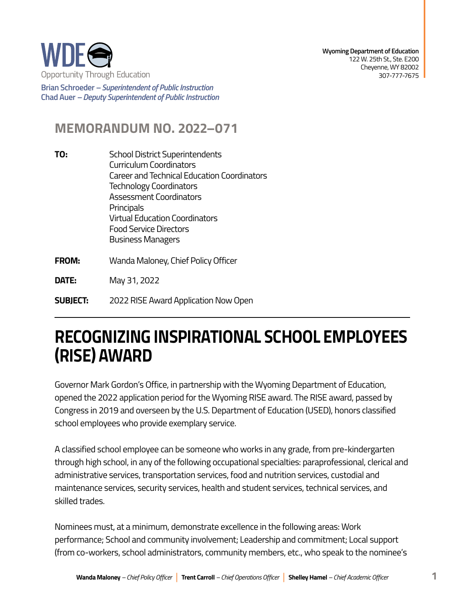

**Brian Schroeder –***Superintendent of Public Instruction*  **Chad Auer** *– Deputy Superintendent of Public Instruction* 

## **MEMORANDUM NO. 2022–071**

- **TO:** School District Superintendents Curriculum Coordinators Career and Technical Education Coordinators Technology Coordinators Assessment Coordinators Principals Virtual Education Coordinators Food Service Directors Business Managers
- **FROM:** Wanda Maloney, Chief Policy Officer

**DATE:** May 31, 2022

**SUBJECT:** 2022 RISE Award Application Now Open

## **(RISE) AWARD RECOGNIZING INSPIRATIONAL SCHOOL EMPLOYEES**

Governor Mark Gordon's Office, in partnership with the Wyoming Department of Education, opened the 2022 application period for the Wyoming RISE award. The RISE award, passed by Congress in 2019 and overseen by the U.S. Department of Education (USED), honors classified school employees who provide exemplary service.

A classified school employee can be someone who works in any grade, from pre-kindergarten through high school, in any of the following occupational specialties: paraprofessional, clerical and administrative services, transportation services, food and nutrition services, custodial and maintenance services, security services, health and student services, technical services, and skilled trades.

Nominees must, at a minimum, demonstrate excellence in the following areas: Work performance; School and community involvement; Leadership and commitment; Local support (from co-workers, school administrators, community members, etc., who speak to the nominee's